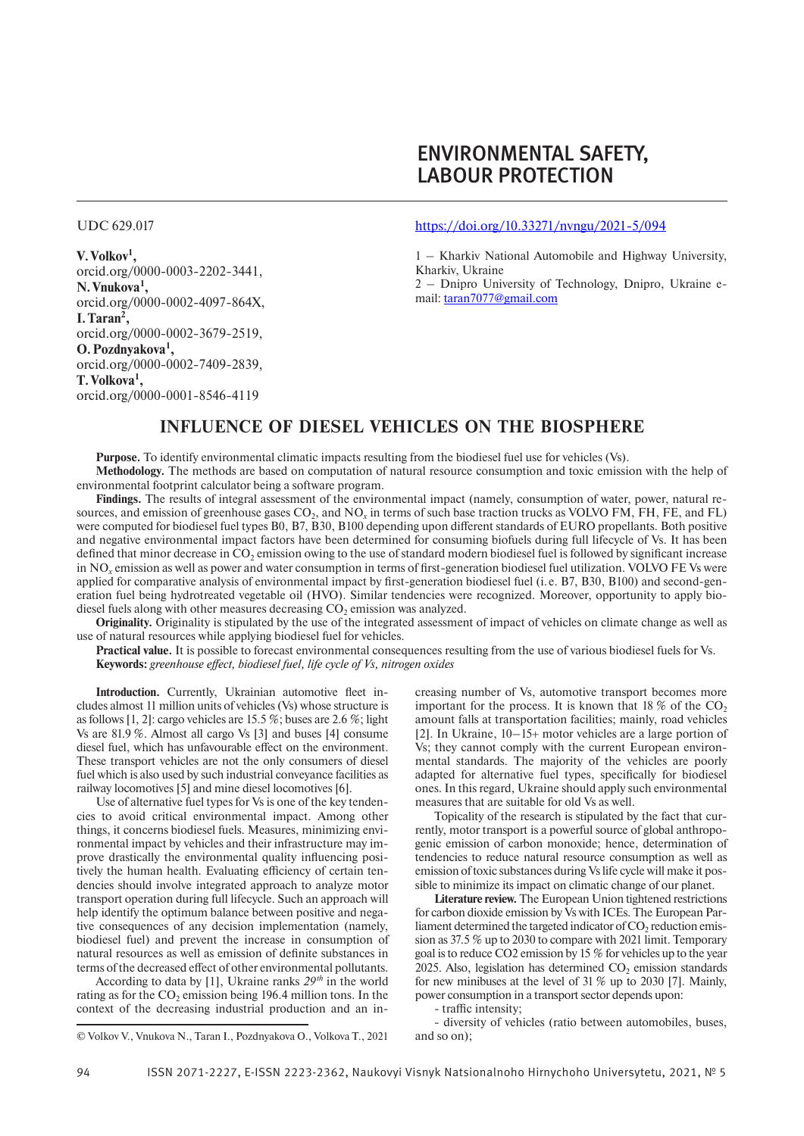# ENVIRONMENTAL SAFETY, LABOUR PROTECTION

UDC 629.017

**V.Volkov1 ,** orcid.org/0000-0003-2202-3441, **N.Vnukova1 ,** orcid.org/0000-0002-4097-864X, **I.Taran2 ,** orcid.org/0000-0002-3679-2519, **O.Pozdnyakova1 ,** orcid.org/0000-0002-7409-2839, **T.Volkova1 ,** orcid.org/0000-0001-8546-4119

#### https://doi.org/10.33271/nvngu/2021-5/094

1 – Kharkiv National Automobile and Highway University, Kharkiv, Ukraine

2 – Dnipro University of Technology, Dnipro, Ukraine email: taran7077@gmail.com

## **INFLUENCE OF DIESEL VEHICLES ON THE BIOSPHERE**

**Purpose.** To identify environmental climatic impacts resulting from the biodiesel fuel use for vehicles (Vs). **Methodology.** The methods are based on computation of natural resource consumption and toxic emission with the help of environmental footprint calculator being a software program.

**Findings.** The results of integral assessment of the environmental impact (namely, consumption of water, power, natural resources, and emission of greenhouse gases CO<sub>2</sub>, and NO<sub>y</sub> in terms of such base traction trucks as VOLVO FM, FH, FE, and FL) were computed for biodiesel fuel types B0, B7, B30, B100 depending upon different standards of EURO propellants. Both positive and negative environmental impact factors have been determined for consuming biofuels during full lifecycle of Vs. It has been defined that minor decrease in  $CO<sub>2</sub>$  emission owing to the use of standard modern biodiesel fuel is followed by significant increase in NO*x* emission as well as power and water consumption in terms of first-generation biodiesel fuel utilization. VOLVO FЕ Vs were applied for comparative analysis of environmental impact by first-generation biodiesel fuel (i. e. В7, В30, В100) and second-generation fuel being hydrotreated vegetable oil (HVO). Similar tendencies were recognized. Moreover, opportunity to apply biodiesel fuels along with other measures decreasing  $CO<sub>2</sub>$  emission was analyzed.

**Originality.** Originality is stipulated by the use of the integrated assessment of impact of vehicles on climate change as well as use of natural resources while applying biodiesel fuel for vehicles.

**Practical value.** It is possible to forecast environmental consequences resulting from the use of various biodiesel fuels for Vs. **Keywords:** *greenhouse effect, biodiesel fuel, life cycle of Vs, nitrogen oxides*

**Introduction.** Currently, Ukrainian automotive fleet includes almost 11 million units of vehicles (Vs) whose structure is as follows [1, 2]: cargo vehicles are 15.5 %; buses are 2.6 %; light Vs are 81.9 %. Almost all cargo Vs [3] and buses [4] consume diesel fuel, which has unfavourable effect on the environment. These transport vehicles are not the only consumers of diesel fuel which is also used by such industrial conveyance facilities as railway locomotives [5] and mine diesel locomotives [6].

Use of alternative fuel types for Vs is one of the key tendencies to avoid critical environmental impact. Among other things, it concerns biodiesel fuels. Measures, minimizing environmental impact by vehicles and their infrastructure may improve drastically the environmental quality influencing positively the human health. Evaluating efficiency of certain tendencies should involve integrated approach to analyze motor transport operation during full lifecycle. Such an approach will help identify the optimum balance between positive and negative consequences of any decision implementation (namely, biodiesel fuel) and prevent the increase in consumption of natural resources as well as emission of definite substances in terms of the decreased effect of other environmental pollutants.

According to data by [1], Ukraine ranks *29th* in the world rating as for the  $CO_2$  emission being 196.4 million tons. In the context of the decreasing industrial production and an increasing number of Vs, automotive transport becomes more important for the process. It is known that  $18\%$  of the CO<sub>2</sub> amount falls at transportation facilities; mainly, road vehicles [2]. In Ukraine, 10–15+ motor vehicles are a large portion of Vs; they cannot comply with the current European environmental standards. The majority of the vehicles are poorly adapted for alternative fuel types, specifically for biodiesel ones. In this regard, Ukraine should apply such environmental measures that are suitable for old Vs as well.

Topicality of the research is stipulated by the fact that currently, motor transport is a powerful source of global anthropogenic emission of carbon monoxide; hence, determination of tendencies to reduce natural resource consumption as well as emission of toxic substances during Vs life cycle will make it possible to minimize its impact on climatic change of our planet.

**Literature review.** The European Union tightened restrictions for carbon dioxide emission by Vs with ICEs. The European Parliament determined the targeted indicator of  $CO<sub>2</sub>$  reduction emission as 37.5 % up to 2030 to compare with 2021 limit. Temporary goal is to reduce CO2 emission by 15 % for vehicles up to the year  $2025$ . Also, legislation has determined  $CO<sub>2</sub>$  emission standards for new minibuses at the level of 31 % up to 2030 [7]. Mainly, power consumption in a transport sector depends upon:

- traffic intensity;

- diversity of vehicles (ratio between automobiles, buses, and so on);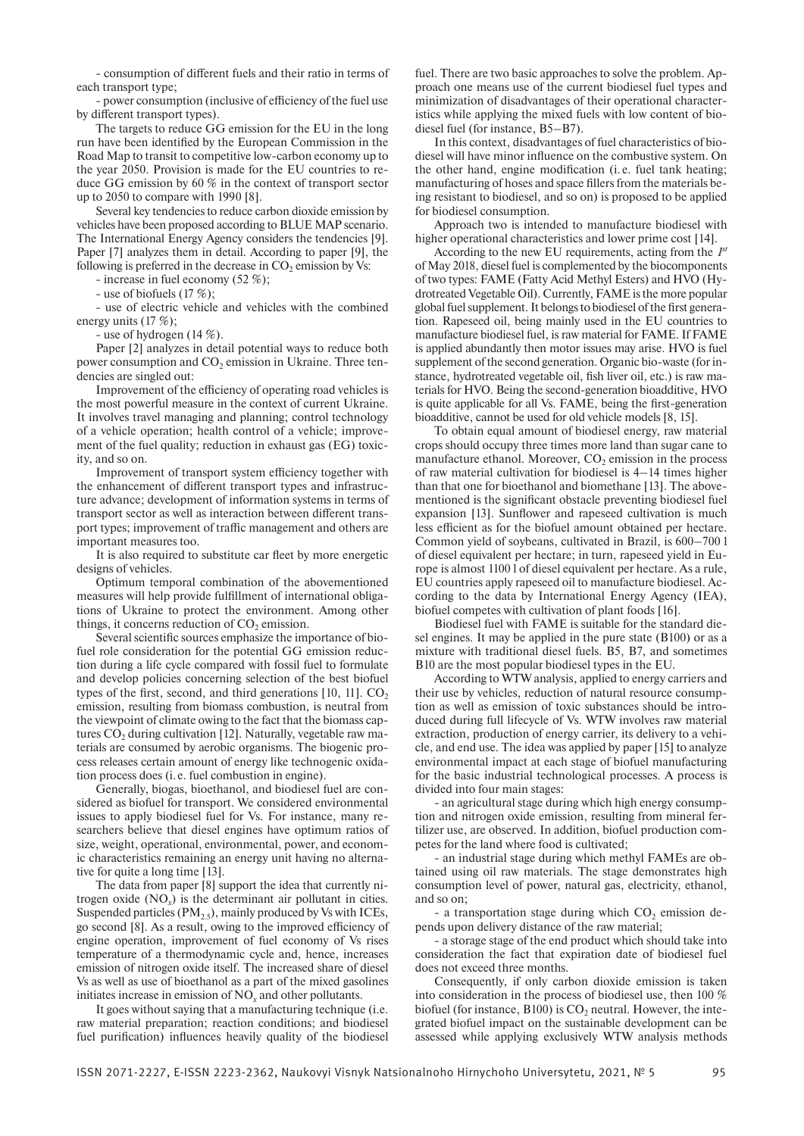- consumption of different fuels and their ratio in terms of each transport type;

- power consumption (inclusive of efficiency of the fuel use by different transport types).

The targets to reduce GG emission for the EU in the long run have been identified by the European Commission in the Road Map to transit to competitive low-carbon economy up to the year 2050. Provision is made for the EU countries to reduce GG emission by 60 % in the context of transport sector up to 2050 to compare with 1990 [8].

Several key tendencies to reduce carbon dioxide emission by vehicles have been proposed according to BLUE MAP scenario. The International Energy Agency considers the tendencies [9]. Paper [7] analyzes them in detail. According to paper [9], the following is preferred in the decrease in  $CO<sub>2</sub>$  emission by Vs:

- increase in fuel economy (52 %);

- use of biofuels (17 %);

- use of electric vehicle and vehicles with the combined energy units (17 %);

- use of hydrogen (14 %).

Paper [2] analyzes in detail potential ways to reduce both power consumption and  $CO<sub>2</sub>$  emission in Ukraine. Three tendencies are singled out:

Improvement of the efficiency of operating road vehicles is the most powerful measure in the context of current Ukraine. It involves travel managing and planning; control technology of a vehicle operation; health control of a vehicle; improvement of the fuel quality; reduction in exhaust gas (EG) toxicity, and so on.

Improvement of transport system efficiency together with the enhancement of different transport types and infrastructure advance; development of information systems in terms of transport sector as well as interaction between different transport types; improvement of traffic management and others are important measures too.

It is also required to substitute car fleet by more energetic designs of vehicles.

Optimum temporal combination of the abovementioned measures will help provide fulfillment of international obligations of Ukraine to protect the environment. Among other things, it concerns reduction of  $CO<sub>2</sub>$  emission.

Several scientific sources emphasize the importance of biofuel role consideration for the potential GG emission reduction during a life cycle compared with fossil fuel to formulate and develop policies concerning selection of the best biofuel types of the first, second, and third generations  $[10, 11]$ .  $CO<sub>2</sub>$ emission, resulting from biomass combustion, is neutral from the viewpoint of climate owing to the fact that the biomass captures  $CO<sub>2</sub>$  during cultivation [12]. Naturally, vegetable raw materials are consumed by aerobic organisms. The biogenic process releases certain amount of energy like technogenic oxidation process does (i. e. fuel combustion in engine).

Generally, biogas, bioethanol, and biodiesel fuel are considered as biofuel for transport. We considered environmental issues to apply biodiesel fuel for Vs. For instance, many researchers believe that diesel engines have optimum ratios of size, weight, operational, environmental, power, and economic characteristics remaining an energy unit having no alternative for quite a long time [13].

The data from paper [8] support the idea that currently nitrogen oxide (NO*x*) is the determinant air pollutant in cities. Suspended particles  $(PM_{2.5})$ , mainly produced by Vs with ICEs, go second [8]. As a result, owing to the improved efficiency of engine operation, improvement of fuel economy of Vs rises temperature of a thermodynamic cycle and, hence, increases emission of nitrogen oxide itself. The increased share of diesel Vs as well as use of bioethanol as a part of the mixed gasolines initiates increase in emission of NO*x* and other pollutants.

It goes without saying that a manufacturing technique (i.e. raw material preparation; reaction conditions; and biodiesel fuel purification) influences heavily quality of the biodiesel

fuel. There are two basic approaches to solve the problem. Approach one means use of the current biodiesel fuel types and minimization of disadvantages of their operational characteristics while applying the mixed fuels with low content of biodiesel fuel (for instance, В5–В7).

In this context, disadvantages of fuel characteristics of biodiesel will have minor influence on the combustive system. On the other hand, engine modification (i. e. fuel tank heating; manufacturing of hoses and space fillers from the materials being resistant to biodiesel, and so on) is proposed to be applied for biodiesel consumption.

Approach two is intended to manufacture biodiesel with higher operational characteristics and lower prime cost [14].

According to the new EU requirements, acting from the *1st* of May 2018, diesel fuel is complemented by the biocomponents of two types: FAME (Fatty Acid Methyl Esters) and HVO (Hydrotreated Vegetable Oil). Currently, FAME is the more popular global fuel supplement. It belongs to biodiesel of the first generation. Rapeseed oil, being mainly used in the EU countries to manufacture biodiesel fuel, is raw material for FAME. If FAME is applied abundantly then motor issues may arise. HVO is fuel supplement of the second generation. Organic bio-waste (for instance, hydrotreated vegetable oil, fish liver oil, etc.) is raw materials for HVO. Being the second-generation bioadditive, HVO is quite applicable for all Vs. FAME, being the first-generation bioadditive, cannot be used for old vehicle models [8, 15].

To obtain equal amount of biodiesel energy, raw material crops should occupy three times more land than sugar cane to manufacture ethanol. Moreover,  $CO<sub>2</sub>$  emission in the process of raw material cultivation for biodiesel is 4–14 times higher than that one for bioethanol and biomethane [13]. The abovementioned is the significant obstacle preventing biodiesel fuel expansion [13]. Sunflower and rapeseed cultivation is much less efficient as for the biofuel amount obtained per hectare. Common yield of soybeans, cultivated in Brazil, is 600–700 l of diesel equivalent per hectare; in turn, rapeseed yield in Europe is almost 1100 l of diesel equivalent per hectare. As a rule, EU countries apply rapeseed oil to manufacture biodiesel. According to the data by International Energy Agency (IEA), biofuel competes with cultivation of plant foods [16].

Biodiesel fuel with FAME is suitable for the standard diesel engines. It may be applied in the pure state (В100) or as a mixture with traditional diesel fuels. В5, В7, and sometimes В10 are the most popular biodiesel types in the EU.

According to WTW analysis, applied to energy carriers and their use by vehicles, reduction of natural resource consumption as well as emission of toxic substances should be introduced during full lifecycle of Vs. WTW involves raw material extraction, production of energy carrier, its delivery to a vehicle, and end use. The idea was applied by paper [15] to analyze environmental impact at each stage of biofuel manufacturing for the basic industrial technological processes. A process is divided into four main stages:

- an agricultural stage during which high energy consumption and nitrogen oxide emission, resulting from mineral fertilizer use, are observed. In addition, biofuel production competes for the land where food is cultivated;

- an industrial stage during which methyl FAMEs are obtained using oil raw materials. The stage demonstrates high consumption level of power, natural gas, electricity, ethanol, and so on;

- a transportation stage during which  $CO<sub>2</sub>$  emission depends upon delivery distance of the raw material;

- a storage stage of the end product which should take into consideration the fact that expiration date of biodiesel fuel does not exceed three months.

Consequently, if only carbon dioxide emission is taken into consideration in the process of biodiesel use, then 100 % biofuel (for instance,  $B100$ ) is  $CO<sub>2</sub>$  neutral. However, the integrated biofuel impact on the sustainable development can be assessed while applying exclusively WTW analysis methods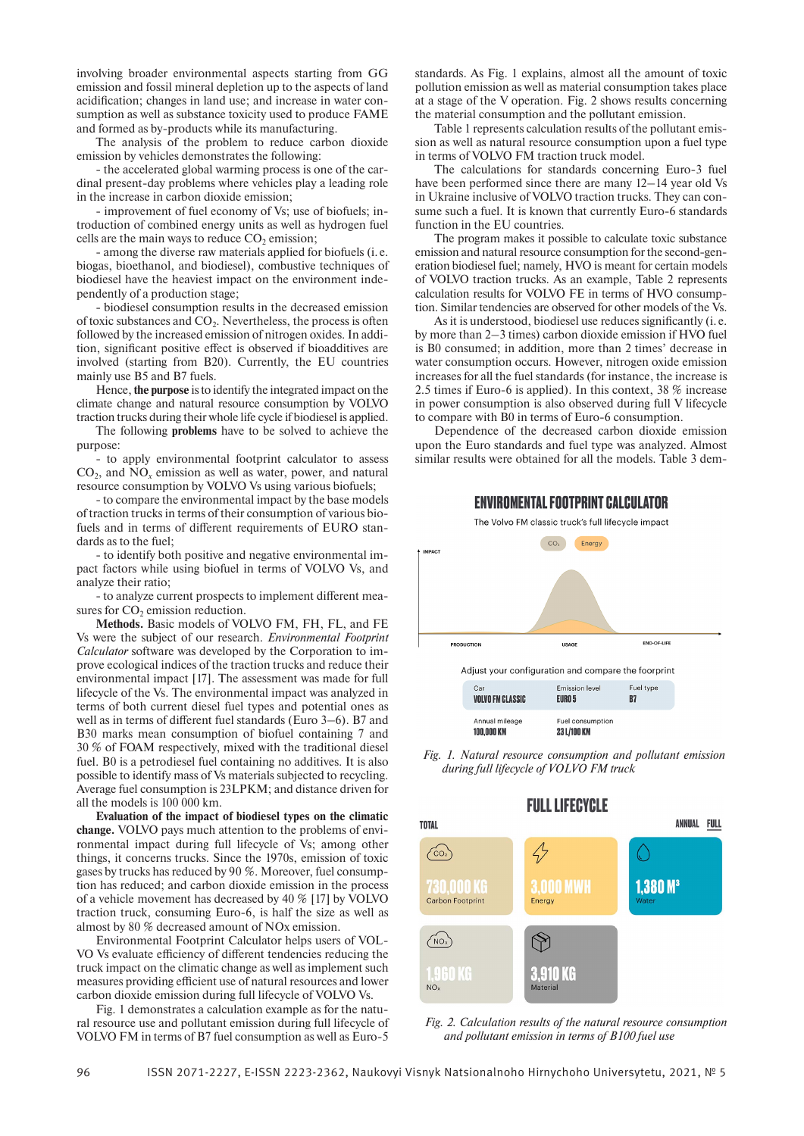involving broader environmental aspects starting from GG emission and fossil mineral depletion up to the aspects of land acidification; changes in land use; and increase in water consumption as well as substance toxicity used to produce FAME and formed as by-products while its manufacturing.

The analysis of the problem to reduce carbon dioxide emission by vehicles demonstrates the following:

- the accelerated global warming process is one of the cardinal present-day problems where vehicles play a leading role in the increase in carbon dioxide emission;

- improvement of fuel economy of Vs; use of biofuels; introduction of combined energy units as well as hydrogen fuel cells are the main ways to reduce  $CO<sub>2</sub>$  emission;

- among the diverse raw materials applied for biofuels (i. e. biogas, bioethanol, and biodiesel), combustive techniques of biodiesel have the heaviest impact on the environment independently of a production stage;

- biodiesel consumption results in the decreased emission of toxic substances and  $CO<sub>2</sub>$ . Nevertheless, the process is often followed by the increased emission of nitrogen oxides. In addition, significant positive effect is observed if bioadditives are involved (starting from B20). Currently, the EU countries mainly use B5 and B7 fuels.

Hence, **the purpose** isto identify the integrated impact on the climate change and natural resource consumption by VOLVO traction trucks during their whole life cycle if biodiesel is applied.

The following **problems** have to be solved to achieve the purpose:

- to apply environmental footprint calculator to assess CO<sub>2</sub>, and NO<sub>x</sub> emission as well as water, power, and natural resource consumption by VOLVO Vs using various biofuels;

- to compare the environmental impact by the base models of traction trucks in terms of their consumption of various biofuels and in terms of different requirements of EURO standards as to the fuel;

- to identify both positive and negative environmental impact factors while using biofuel in terms of VOLVO Vs, and analyze their ratio;

- to analyze current prospects to implement different measures for CO<sub>2</sub> emission reduction.

**Methods.** Basic models of VOLVO FM, FH, FL, and FE Vs were the subject of our research. *Environmental Footprint Calculator* software was developed by the Corporation to improve ecological indices of the traction trucks and reduce their environmental impact [17]. The assessment was made for full lifecycle of the Vs. The environmental impact was analyzed in terms of both current diesel fuel types and potential ones as well as in terms of different fuel standards (Euro 3–6). В7 and В30 marks mean consumption of biofuel containing 7 and 30 % of FOAM respectively, mixed with the traditional diesel fuel. B0 is a petrodiesel fuel containing no additives. It is also possible to identify mass of Vs materials subjected to recycling. Average fuel consumption is 23LPKM; and distance driven for all the models is 100 000 km.

**Evaluation of the impact of biodiesel types on the climatic change.** VOLVO pays much attention to the problems of environmental impact during full lifecycle of Vs; among other things, it concerns trucks. Since the 1970s, emission of toxic gases by trucks has reduced by 90 %. Moreover, fuel consumption has reduced; and carbon dioxide emission in the process of a vehicle movement has decreased by 40 % [17] by VOLVO traction truck, consuming Euro-6, is half the size as well as almost by 80 % decreased amount of NOx emission.

Environmental Footprint Calculator helps users of VOL-VO Vs evaluate efficiency of different tendencies reducing the truck impact on the climatic change as well as implement such measures providing efficient use of natural resources and lower carbon dioxide emission during full lifecycle of VOLVO Vs.

Fig. 1 demonstrates a calculation example as for the natural resource use and pollutant emission during full lifecycle of VOLVO FM in terms of В7 fuel consumption as well as Еuro-5

standards. As Fig. 1 explains, almost all the amount of toxic pollution emission as well as material consumption takes place at a stage of the V operation. Fig. 2 shows results concerning the material consumption and the pollutant emission.

Table 1 represents calculation results of the pollutant emission as well as natural resource consumption upon a fuel type in terms of VOLVO FM traction truck model.

The calculations for standards concerning Euro-3 fuel have been performed since there are many  $12-14$  year old Vs in Ukraine inclusive of VOLVO traction trucks. They can consume such a fuel. It is known that currently Euro-6 standards function in the EU countries.

The program makes it possible to calculate toxic substance emission and natural resource consumption for the second-generation biodiesel fuel; namely, HVO is meant for certain models of VOLVO traction trucks. As an example, Table 2 represents calculation results for VOLVO FЕ in terms of HVO consumption. Similar tendencies are observed for other models of the Vs.

As it is understood, biodiesel use reduces significantly (i. e. by more than 2–3 times) carbon dioxide emission if HVO fuel is B0 consumed; in addition, more than 2 times' decrease in water consumption occurs. However, nitrogen oxide emission increases for all the fuel standards (for instance, the increase is 2.5 times if Euro-6 is applied). In this context, 38 % increase in power consumption is also observed during full V lifecycle to compare with B0 in terms of Euro-6 consumption.

Dependence of the decreased carbon dioxide emission upon the Euro standards and fuel type was analyzed. Almost similar results were obtained for all the models. Table 3 dem-

### **ENVIROMENTAL FOOTPRINT CALCULATOR**

The Volvo FM classic truck's full lifecycle impact



*Fig. 1. Natural resource consumption and pollutant emission during full lifecycle of VOLVO FM truck*

**FULL LIFECYCLE** ANNUAL FULL **TOTAL**  $\sim$  $.000$  MWH  $1.380 M<sup>3</sup>$ tu vuu ke Carbon Footprint Energy  $\sqrt{NQ_X}$ 960 KG 1910 KG  $N$  $\Omega$ 

*Fig. 2. Calculation results of the natural resource consumption and pollutant emission in terms of В100 fuel use*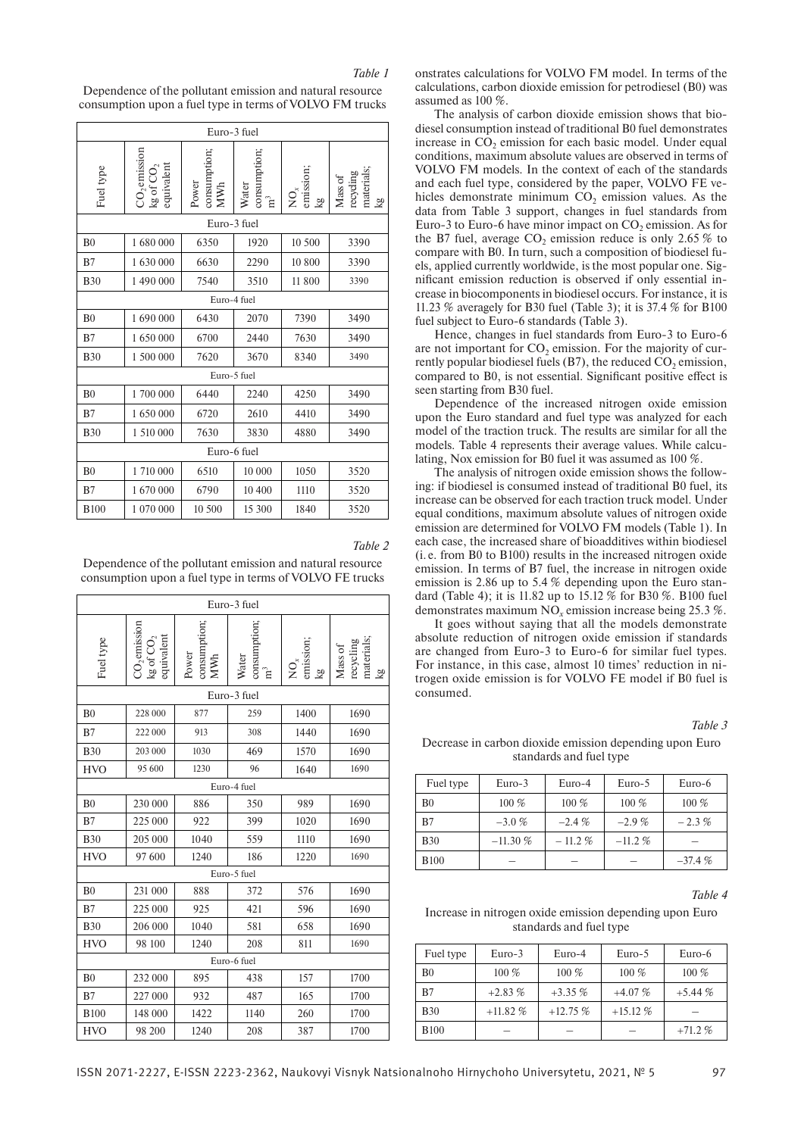Dependence of the pollutant emission and natural resource consumption upon a fuel type in terms of VOLVO FM trucks

| Euro-3 fuel    |                                          |                                     |                             |                                                                |                                          |  |
|----------------|------------------------------------------|-------------------------------------|-----------------------------|----------------------------------------------------------------|------------------------------------------|--|
| Fuel type      | $CO2$ emission<br>kg of $CO2$ equivalent | consumption;<br>Power<br><b>MWh</b> | consumption;<br>Water<br>π, | emission;<br>$\mathop{\mathsf{Q}}\nolimits_{\mathsf{x}}$<br>kg | Mass of<br>recycling<br>materials;<br>Σã |  |
|                |                                          | Euro-3 fuel                         |                             |                                                                |                                          |  |
| B <sub>0</sub> | 1680000                                  | 6350                                | 1920                        | 10 500                                                         | 3390                                     |  |
| B7             | 1630000                                  | 6630                                | 2290                        | 10 800                                                         | 3390                                     |  |
| <b>B30</b>     | 1490000                                  | 7540                                | 3510                        | 11 800                                                         | 3390                                     |  |
|                |                                          | Euro-4 fuel                         |                             |                                                                |                                          |  |
| B <sub>0</sub> | 1690000                                  | 6430                                | 2070                        | 7390                                                           | 3490                                     |  |
| B7             | 1650000                                  | 6700                                | 2440                        | 7630                                                           | 3490                                     |  |
| <b>B30</b>     | 1 500 000                                | 7620                                | 3670                        | 8340                                                           | 3490                                     |  |
|                | Euro-5 fuel                              |                                     |                             |                                                                |                                          |  |
| B <sub>0</sub> | 1700 000                                 | 6440                                | 2240                        | 4250                                                           | 3490                                     |  |
| B7             | 1 650 000                                | 6720                                | 2610                        | 4410                                                           | 3490                                     |  |
| <b>B30</b>     | 1 510 000                                | 7630                                | 3830                        | 4880                                                           | 3490                                     |  |
| Euro-6 fuel    |                                          |                                     |                             |                                                                |                                          |  |
| B <sub>0</sub> | 1710 000                                 | 6510                                | 10 000                      | 1050                                                           | 3520                                     |  |
| B7             | 1670000                                  | 6790                                | 10 400                      | 1110                                                           | 3520                                     |  |
| <b>B100</b>    | 1 070 000                                | 10 500                              | 15 300                      | 1840                                                           | 3520                                     |  |

*Table 2*

Dependence of the pollutant emission and natural resource consumption upon a fuel type in terms of VOLVO FE trucks

| Euro-3 fuel    |                                          |                              |                             |                                                      |                                          |
|----------------|------------------------------------------|------------------------------|-----------------------------|------------------------------------------------------|------------------------------------------|
| Fuel type      | $CO2$ emission<br>kg of $CO2$ equivalent | consumption;<br>MWh<br>Power | consumption<br>Water<br>ក្ន | emission;<br>$\mathop{{\Sigma}}\limits^{\sim}$<br>kg | materials;<br>recycling<br>Mass of<br>kg |
|                |                                          |                              | Euro-3 fuel                 |                                                      |                                          |
| B <sub>0</sub> | 228 000                                  | 877                          | 259                         | 1400                                                 | 1690                                     |
| B7             | 222 000                                  | 913                          | 308                         | 1440                                                 | 1690                                     |
| <b>B30</b>     | 203 000                                  | 1030                         | 469                         | 1570                                                 | 1690                                     |
| <b>HVO</b>     | 95 600                                   | 1230                         | 96                          | 1640                                                 | 1690                                     |
|                |                                          |                              | Euro-4 fuel                 |                                                      |                                          |
| B <sub>0</sub> | 230 000                                  | 886                          | 350                         | 989                                                  | 1690                                     |
| B7             | 225 000                                  | 922                          | 399                         | 1020                                                 | 1690                                     |
| <b>B30</b>     | 205 000                                  | 1040                         | 559                         | 1110                                                 | 1690                                     |
| <b>HVO</b>     | 97 600                                   | 1240                         | 186                         | 1220                                                 | 1690                                     |
|                |                                          |                              | Euro-5 fuel                 |                                                      |                                          |
| B <sub>0</sub> | 231 000                                  | 888                          | 372                         | 576                                                  | 1690                                     |
| B7             | 225 000                                  | 925                          | 421                         | 596                                                  | 1690                                     |
| <b>B30</b>     | 206 000                                  | 1040                         | 581                         | 658                                                  | 1690                                     |
| <b>HVO</b>     | 98 100                                   | 1240                         | 208                         | 811                                                  | 1690                                     |
| Euro-6 fuel    |                                          |                              |                             |                                                      |                                          |
| B <sub>0</sub> | 232 000                                  | 895                          | 438                         | 157                                                  | 1700                                     |
| B7             | 227 000                                  | 932                          | 487                         | 165                                                  | 1700                                     |
| <b>B100</b>    | 148 000                                  | 1422                         | 1140                        | 260                                                  | 1700                                     |
| <b>HVO</b>     | 98 200                                   | 1240                         | 208                         | 387                                                  | 1700                                     |

onstrates calculations for VOLVO FМ model. In terms of the calculations, carbon dioxide emission for petrodiesel (B0) was assumed as 100 %.

The analysis of carbon dioxide emission shows that biodiesel consumption instead of traditional В0 fuel demonstrates increase in  $CO<sub>2</sub>$  emission for each basic model. Under equal conditions, maximum absolute values are observed in terms of VOLVO FM models. In the context of each of the standards and each fuel type, considered by the paper, VOLVO FЕ vehicles demonstrate minimum  $CO<sub>2</sub>$  emission values. As the data from Table 3 support, changes in fuel standards from Euro-3 to Euro-6 have minor impact on  $CO<sub>2</sub>$  emission. As for the B7 fuel, average  $CO<sub>2</sub>$  emission reduce is only 2.65 % to compare with В0. In turn, such a composition of biodiesel fuels, applied currently worldwide, is the most popular one. Significant emission reduction is observed if only essential increase in biocomponents in biodiesel occurs. For instance, it is 11.23 % averagely for В30 fuel (Table 3); it is 37.4 % for B100 fuel subject to Euro-6 standards (Table 3).

Hence, changes in fuel standards from Euro-3 to Euro-6 are not important for  $CO<sub>2</sub>$  emission. For the majority of currently popular biodiesel fuels ( $B$ 7), the reduced  $CO<sub>2</sub>$  emission, compared to B0, is not essential. Significant positive effect is seen starting from В30 fuel.

Dependence of the increased nitrogen oxide emission upon the Euro standard and fuel type was analyzed for each model of the traction truck. The results are similar for all the models. Table 4 represents their average values. While calculating, Nox emission for B0 fuel it was assumed as 100 %.

The analysis of nitrogen oxide emission shows the following: if biodiesel is consumed instead of traditional B0 fuel, its increase can be observed for each traction truck model. Under equal conditions, maximum absolute values of nitrogen oxide emission are determined for VOLVO FM models (Table 1). In each case, the increased share of bioadditives within biodiesel (i. e. from B0 to B100) results in the increased nitrogen oxide emission. In terms of B7 fuel, the increase in nitrogen oxide emission is 2.86 up to 5.4 % depending upon the Euro standard (Table 4); it is 11.82 up to 15.12 % for В30 %. В100 fuel demonstrates maximum NO*x* emission increase being 25.3 %.

It goes without saying that all the models demonstrate absolute reduction of nitrogen oxide emission if standards are changed from Euro-3 to Euro-6 for similar fuel types. For instance, in this case, almost 10 times' reduction in nitrogen oxide emission is for VOLVO FЕ model if В0 fuel is consumed.

*Table 3*

Decrease in carbon dioxide emission depending upon Euro standards and fuel type

| Fuel type   | $Euro-3$   | $Euro-4$ | Euro-5   | Euro-6   |
|-------------|------------|----------|----------|----------|
| B0          | 100 %      | 100 %    | $100\%$  | $100\%$  |
| B7          | $-3.0\%$   | $-2.4\%$ | $-2.9\%$ | $-2.3\%$ |
| <b>B30</b>  | $-11.30\%$ | $-11.2%$ | $-11.2%$ |          |
| <b>B100</b> |            |          |          | $-37.4%$ |

*Table 4*

Increase in nitrogen oxide emission depending upon Euro standards and fuel type

| Fuel type      | $Euro-3$   | Euro-4    | Euro-5    | Euro-6   |
|----------------|------------|-----------|-----------|----------|
| B <sub>0</sub> | $100\%$    | 100 %     | 100 %     | $100\%$  |
| B7             | $+2.83%$   | $+3.35\%$ | $+4.07%$  | $+5.44%$ |
| <b>B30</b>     | $+11.82\%$ | $+12.75%$ | $+15.12%$ |          |
| <b>B100</b>    |            |           |           | $+71.2%$ |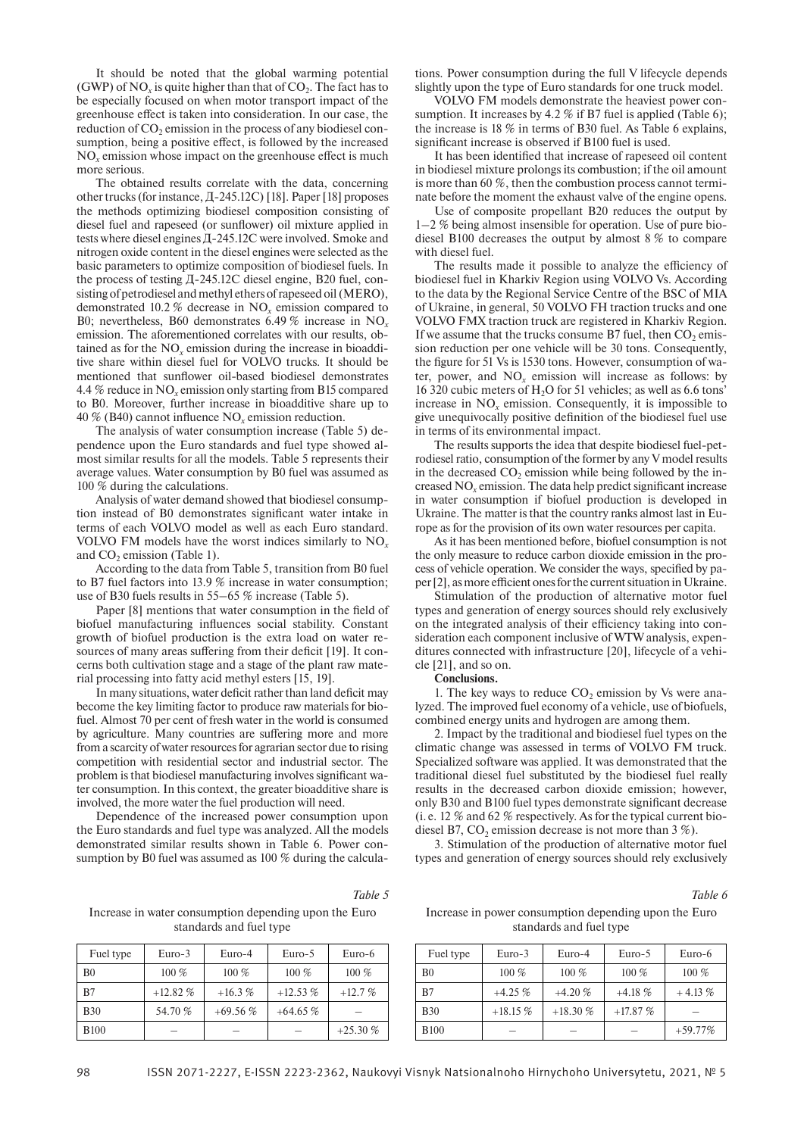It should be noted that the global warming potential (GWP) of NO<sub>x</sub> is quite higher than that of  $CO<sub>2</sub>$ . The fact has to be especially focused on when motor transport impact of the greenhouse effect is taken into consideration. In our case, the reduction of  $CO<sub>2</sub>$  emission in the process of any biodiesel consumption, being a positive effect, is followed by the increased NO*x* emission whose impact on the greenhouse effect is much more serious.

The obtained results correlate with the data, concerning other trucks (for instance, Д-245.12С)[18]. Paper[18] proposes the methods optimizing biodiesel composition consisting of diesel fuel and rapeseed (or sunflower) oil mixture applied in tests where diesel engines Д-245.12С were involved. Smoke and nitrogen oxide content in the diesel engines were selected as the basic parameters to optimize composition of biodiesel fuels. In the process of testing Д-245.12С diesel engine, В20 fuel, consisting of petrodiesel and methyl ethers of rapeseed oil (MERO), demonstrated 10.2 % decrease in NO*x* emission compared to В0; nevertheless, В60 demonstrates 6.49 % increase in NO*<sup>x</sup>* emission. The aforementioned correlates with our results, obtained as for the NO*x* emission during the increase in bioadditive share within diesel fuel for VOLVO trucks. It should be mentioned that sunflower oil-based biodiesel demonstrates 4.4 % reduce in NO*x* emission only starting from B15 compared to В0. Moreover, further increase in bioadditive share up to 40 % (В40) cannot influence NO*x* emission reduction.

The analysis of water consumption increase (Table 5) dependence upon the Euro standards and fuel type showed almost similar results for all the models. Table 5 represents their average values. Water consumption by В0 fuel was assumed as 100 % during the calculations.

Analysis of water demand showed that biodiesel consumption instead of В0 demonstrates significant water intake in terms of each VOLVO model as well as each Euro standard. VOLVO FM models have the worst indices similarly to NO*<sup>x</sup>* and  $CO<sub>2</sub>$  emission (Table 1).

According to the data from Table 5, transition from B0 fuel to B7 fuel factors into 13.9 % increase in water consumption; use of B30 fuels results in 55–65 % increase (Table 5).

Paper [8] mentions that water consumption in the field of biofuel manufacturing influences social stability. Constant growth of biofuel production is the extra load on water resources of many areas suffering from their deficit [19]. It concerns both cultivation stage and a stage of the plant raw material processing into fatty acid methyl esters [15, 19].

In many situations, water deficit rather than land deficit may become the key limiting factor to produce raw materials for biofuel. Almost 70 per cent of fresh water in the world is consumed by agriculture. Many countries are suffering more and more from a scarcity of water resources for agrarian sector due to rising competition with residential sector and industrial sector. The problem is that biodiesel manufacturing involves significant water consumption. In this context, the greater bioadditive share is involved, the more water the fuel production will need.

Dependence of the increased power consumption upon the Euro standards and fuel type was analyzed. All the models demonstrated similar results shown in Table 6. Power consumption by B0 fuel was assumed as 100 % during the calcula-

tions. Power consumption during the full V lifecycle depends slightly upon the type of Euro standards for one truck model.

VOLVO FM models demonstrate the heaviest power consumption. It increases by 4.2 % if B7 fuel is applied (Table 6): the increase is 18 % in terms of B30 fuel. As Table 6 explains, significant increase is observed if B100 fuel is used.

It has been identified that increase of rapeseed oil content in biodiesel mixture prolongs its combustion; if the oil amount is more than 60 %, then the combustion process cannot terminate before the moment the exhaust valve of the engine opens.

Use of composite propellant B20 reduces the output by 1–2 % being almost insensible for operation. Use of pure biodiesel B100 decreases the output by almost 8 % to compare with diesel fuel.

The results made it possible to analyze the efficiency of biodiesel fuel in Kharkiv Region using VOLVO Vs. According to the data by the Regional Service Centre of the BSC of MIA of Ukraine, in general, 50 VOLVO FH traction trucks and one VOLVO FMX traction truck are registered in Kharkiv Region. If we assume that the trucks consume B7 fuel, then  $CO<sub>2</sub>$  emission reduction per one vehicle will be 30 tons. Consequently, the figure for 51 Vs is 1530 tons. However, consumption of water, power, and  $NO<sub>x</sub>$  emission will increase as follows: by 16 320 cubic meters of H<sub>2</sub>O for 51 vehicles; as well as 6.6 tons' increase in NO*x* emission. Consequently, it is impossible to give unequivocally positive definition of the biodiesel fuel use in terms of its environmental impact.

The results supports the idea that despite biodiesel fuel-petrodiesel ratio, consumption of the former by any V model results in the decreased  $CO<sub>2</sub>$  emission while being followed by the increased NO*x* emission. The data help predict significant increase in water consumption if biofuel production is developed in Ukraine. The matter is that the country ranks almost last in Europe as for the provision of its own water resources per capita.

As it has been mentioned before, biofuel consumption is not the only measure to reduce carbon dioxide emission in the process of vehicle operation. We consider the ways, specified by paper [2], as more efficient ones for the current situation in Ukraine.

Stimulation of the production of alternative motor fuel types and generation of energy sources should rely exclusively on the integrated analysis of their efficiency taking into consideration each component inclusive of WTW analysis, expenditures connected with infrastructure [20], lifecycle of a vehicle [21], and so on.

**Conclusions.**

1. The key ways to reduce  $CO<sub>2</sub>$  emission by Vs were analyzed. The improved fuel economy of a vehicle, use of biofuels, combined energy units and hydrogen are among them.

2. Impact by the traditional and biodiesel fuel types on the climatic change was assessed in terms of VOLVO FM truck. Specialized software was applied. It was demonstrated that the traditional diesel fuel substituted by the biodiesel fuel really results in the decreased carbon dioxide emission; however, only B30 and B100 fuel types demonstrate significant decrease (i. e. 12 % and 62 % respectively. As for the typical current biodiesel B7, CO<sub>2</sub> emission decrease is not more than  $3\%$ ).

3. Stimulation of the production of alternative motor fuel types and generation of energy sources should rely exclusively

*Table 6*

#### *Table 5*

Increase in water consumption depending upon the Euro standards and fuel type

| Fuel type   | $Euro-3$  | Euro-4    | Euro-5    | Euro-6    |
|-------------|-----------|-----------|-----------|-----------|
| B0          | $100\%$   | $100\%$   | 100 %     | $100\%$   |
| B7          | $+12.82%$ | $+16.3%$  | $+12.53%$ | $+12.7%$  |
| <b>B30</b>  | 54.70 %   | $+69.56%$ | $+64.65%$ |           |
| <b>B100</b> |           |           |           | $+25.30%$ |

| Increase in power consumption depending upon the Euro |
|-------------------------------------------------------|
| standards and fuel type                               |

| Fuel type      | $Euro-3$  | Euro-4    | Euro-5    | Euro-6    |
|----------------|-----------|-----------|-----------|-----------|
| B <sub>0</sub> | 100 %     | $100\%$   | $100\%$   | 100 %     |
| B7             | $+4.25%$  | $+4.20%$  | $+4.18%$  | $+4.13%$  |
| <b>B</b> 30    | $+18.15%$ | $+18.30%$ | $+17.87%$ |           |
| <b>B100</b>    |           |           |           | $+59.77%$ |